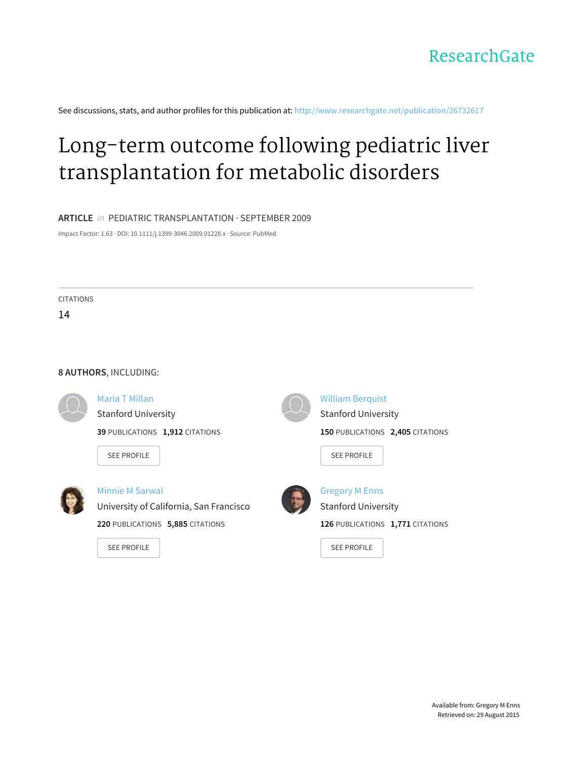

See discussions, stats, and author profiles for this publication at: [http://www.researchgate.net/publication/26732617](http://www.researchgate.net/publication/26732617_Long-term_outcome_following_pediatric_liver_transplantation_for_metabolic_disorders?enrichId=rgreq-020b905a-a2c9-44e2-b4b0-f3d44360a48d&enrichSource=Y292ZXJQYWdlOzI2NzMyNjE3O0FTOjE3Nzc3NjE3MDY0MzQ1NkAxNDE5Mzk2NTUwNDUx&el=1_x_2)

# Long-term outcome following pediatric liver [transplantation](http://www.researchgate.net/publication/26732617_Long-term_outcome_following_pediatric_liver_transplantation_for_metabolic_disorders?enrichId=rgreq-020b905a-a2c9-44e2-b4b0-f3d44360a48d&enrichSource=Y292ZXJQYWdlOzI2NzMyNjE3O0FTOjE3Nzc3NjE3MDY0MzQ1NkAxNDE5Mzk2NTUwNDUx&el=1_x_3) for metabolic disorders

**ARTICLE** in PEDIATRIC TRANSPLANTATION · SEPTEMBER 2009

Impact Factor: 1.63 · DOI: 10.1111/j.1399-3046.2009.01228.x · Source: PubMed

CITATIONS 14

**8 AUTHORS**, INCLUDING:



Maria T [Millan](http://www.researchgate.net/profile/Maria_Millan2?enrichId=rgreq-020b905a-a2c9-44e2-b4b0-f3d44360a48d&enrichSource=Y292ZXJQYWdlOzI2NzMyNjE3O0FTOjE3Nzc3NjE3MDY0MzQ1NkAxNDE5Mzk2NTUwNDUx&el=1_x_5)

Stanford [University](http://www.researchgate.net/institution/Stanford_University?enrichId=rgreq-020b905a-a2c9-44e2-b4b0-f3d44360a48d&enrichSource=Y292ZXJQYWdlOzI2NzMyNjE3O0FTOjE3Nzc3NjE3MDY0MzQ1NkAxNDE5Mzk2NTUwNDUx&el=1_x_6)

**39** PUBLICATIONS **1,912** CITATIONS

SEE [PROFILE](http://www.researchgate.net/profile/Maria_Millan2?enrichId=rgreq-020b905a-a2c9-44e2-b4b0-f3d44360a48d&enrichSource=Y292ZXJQYWdlOzI2NzMyNjE3O0FTOjE3Nzc3NjE3MDY0MzQ1NkAxNDE5Mzk2NTUwNDUx&el=1_x_7)



Minnie M [Sarwal](http://www.researchgate.net/profile/Minnie_Sarwal2?enrichId=rgreq-020b905a-a2c9-44e2-b4b0-f3d44360a48d&enrichSource=Y292ZXJQYWdlOzI2NzMyNjE3O0FTOjE3Nzc3NjE3MDY0MzQ1NkAxNDE5Mzk2NTUwNDUx&el=1_x_5)

University of [California,](http://www.researchgate.net/institution/University_of_California_San_Francisco?enrichId=rgreq-020b905a-a2c9-44e2-b4b0-f3d44360a48d&enrichSource=Y292ZXJQYWdlOzI2NzMyNjE3O0FTOjE3Nzc3NjE3MDY0MzQ1NkAxNDE5Mzk2NTUwNDUx&el=1_x_6) San Francisco **220** PUBLICATIONS **5,885** CITATIONS





William [Berquist](http://www.researchgate.net/profile/William_Berquist?enrichId=rgreq-020b905a-a2c9-44e2-b4b0-f3d44360a48d&enrichSource=Y292ZXJQYWdlOzI2NzMyNjE3O0FTOjE3Nzc3NjE3MDY0MzQ1NkAxNDE5Mzk2NTUwNDUx&el=1_x_5)

**150** PUBLICATIONS **2,405** CITATIONS

SEE [PROFILE](http://www.researchgate.net/profile/William_Berquist?enrichId=rgreq-020b905a-a2c9-44e2-b4b0-f3d44360a48d&enrichSource=Y292ZXJQYWdlOzI2NzMyNjE3O0FTOjE3Nzc3NjE3MDY0MzQ1NkAxNDE5Mzk2NTUwNDUx&el=1_x_7)



[Gregory](http://www.researchgate.net/profile/Gregory_Enns?enrichId=rgreq-020b905a-a2c9-44e2-b4b0-f3d44360a48d&enrichSource=Y292ZXJQYWdlOzI2NzMyNjE3O0FTOjE3Nzc3NjE3MDY0MzQ1NkAxNDE5Mzk2NTUwNDUx&el=1_x_5) M Enns Stanford [University](http://www.researchgate.net/institution/Stanford_University?enrichId=rgreq-020b905a-a2c9-44e2-b4b0-f3d44360a48d&enrichSource=Y292ZXJQYWdlOzI2NzMyNjE3O0FTOjE3Nzc3NjE3MDY0MzQ1NkAxNDE5Mzk2NTUwNDUx&el=1_x_6) **126** PUBLICATIONS **1,771** CITATIONS

SEE [PROFILE](http://www.researchgate.net/profile/Gregory_Enns?enrichId=rgreq-020b905a-a2c9-44e2-b4b0-f3d44360a48d&enrichSource=Y292ZXJQYWdlOzI2NzMyNjE3O0FTOjE3Nzc3NjE3MDY0MzQ1NkAxNDE5Mzk2NTUwNDUx&el=1_x_7)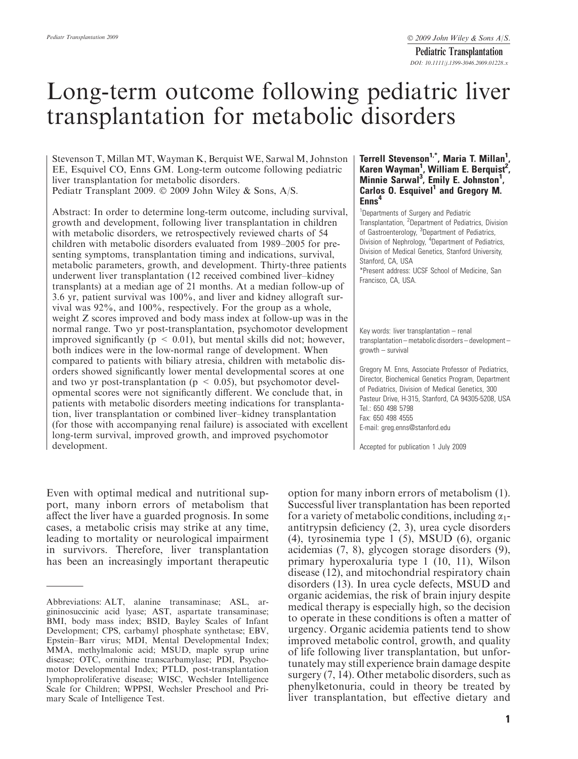## Long-term outcome following pediatric liver transplantation for metabolic disorders

Stevenson T, Millan MT, Wayman K, Berquist WE, Sarwal M, Johnston EE, Esquivel CO, Enns GM. Long-term outcome following pediatric liver transplantation for metabolic disorders. Pediatr Transplant 2009.  $\odot$  2009 John Wiley & Sons, A/S.

Abstract: In order to determine long-term outcome, including survival, growth and development, following liver transplantation in children with metabolic disorders, we retrospectively reviewed charts of 54 children with metabolic disorders evaluated from 1989–2005 for presenting symptoms, transplantation timing and indications, survival, metabolic parameters, growth, and development. Thirty-three patients underwent liver transplantation (12 received combined liver–kidney transplants) at a median age of 21 months. At a median follow-up of 3.6 yr, patient survival was 100%, and liver and kidney allograft survival was 92%, and 100%, respectively. For the group as a whole, weight Z scores improved and body mass index at follow-up was in the normal range. Two yr post-transplantation, psychomotor development improved significantly ( $p < 0.01$ ), but mental skills did not; however, both indices were in the low-normal range of development. When compared to patients with biliary atresia, children with metabolic disorders showed significantly lower mental developmental scores at one and two yr post-transplantation ( $p \leq 0.05$ ), but psychomotor developmental scores were not significantly different. We conclude that, in patients with metabolic disorders meeting indications for transplantation, liver transplantation or combined liver–kidney transplantation (for those with accompanying renal failure) is associated with excellent long-term survival, improved growth, and improved psychomotor development.

Even with optimal medical and nutritional support, many inborn errors of metabolism that affect the liver have a guarded prognosis. In some cases, a metabolic crisis may strike at any time, leading to mortality or neurological impairment in survivors. Therefore, liver transplantation has been an increasingly important therapeutic

#### Terrell Stevenson<sup>1,\*</sup>, Maria T. Millan<sup>1</sup>, Karen Wayman<sup>1</sup>, William E. Berquist<sup>2</sup>, Minnie Sarwal<sup>3</sup>, Emily E. Johnston<sup>1</sup>, Carlos O. Esquivel $<sup>1</sup>$  and Gregory M.</sup> Enns<sup>4</sup>

<sup>1</sup>Departments of Surgery and Pediatric Transplantation, <sup>2</sup>Department of Pediatrics, Division of Gastroenterology, <sup>3</sup>Department of Pediatrics, Division of Nephrology, <sup>4</sup> Department of Pediatrics, Division of Medical Genetics, Stanford University, Stanford, CA, USA \*Present address: UCSF School of Medicine, San Francisco, CA, USA.

Key words: liver transplantation – renal transplantation – metabolic disorders – development – growth – survival

Gregory M. Enns, Associate Professor of Pediatrics, Director, Biochemical Genetics Program, Department of Pediatrics, Division of Medical Genetics, 300 Pasteur Drive, H-315, Stanford, CA 94305-5208, USA Tel.: 650 498 5798 Fax: 650 498 4555 E-mail: greg.enns@stanford.edu

Accepted for publication 1 July 2009

option for many inborn errors of metabolism (1). Successful liver transplantation has been reported for a variety of metabolic conditions, including  $\alpha_1$ antitrypsin deficiency (2, 3), urea cycle disorders (4), tyrosinemia type 1 (5), MSUD (6), organic acidemias (7, 8), glycogen storage disorders (9), primary hyperoxaluria type 1 (10, 11), Wilson disease (12), and mitochondrial respiratory chain disorders (13). In urea cycle defects, MSUD and organic acidemias, the risk of brain injury despite medical therapy is especially high, so the decision to operate in these conditions is often a matter of urgency. Organic acidemia patients tend to show improved metabolic control, growth, and quality of life following liver transplantation, but unfortunately may still experience brain damage despite surgery (7, 14). Other metabolic disorders, such as phenylketonuria, could in theory be treated by liver transplantation, but effective dietary and

Abbreviations: ALT, alanine transaminase; ASL, argininosuccinic acid lyase; AST, aspartate transaminase; BMI, body mass index; BSID, Bayley Scales of Infant Development; CPS, carbamyl phosphate synthetase; EBV, Epstein–Barr virus; MDI, Mental Developmental Index; MMA, methylmalonic acid; MSUD, maple syrup urine disease; OTC, ornithine transcarbamylase; PDI, Psychomotor Developmental Index; PTLD, post-transplantation lymphoproliferative disease; WISC, Wechsler Intelligence Scale for Children; WPPSI, Wechsler Preschool and Primary Scale of Intelligence Test.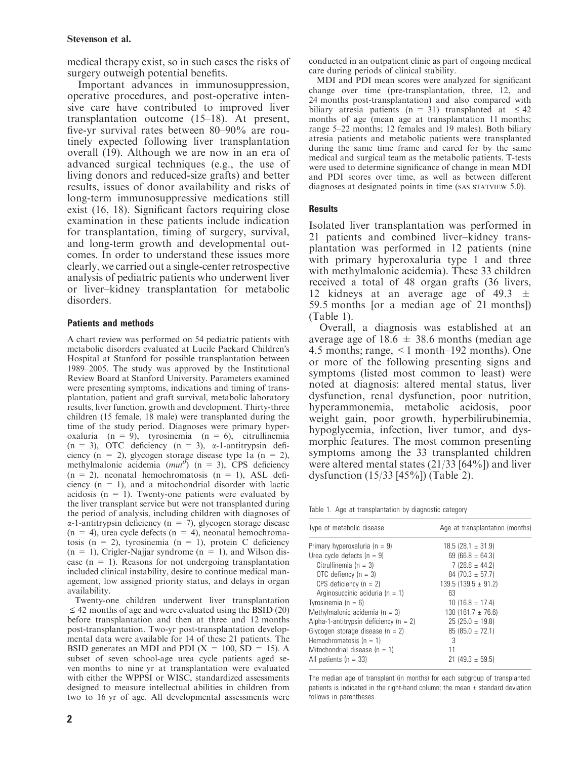medical therapy exist, so in such cases the risks of surgery outweigh potential benefits.

Important advances in immunosuppression, operative procedures, and post-operative intensive care have contributed to improved liver transplantation outcome (15–18). At present, five-yr survival rates between 80–90% are routinely expected following liver transplantation overall (19). Although we are now in an era of advanced surgical techniques (e.g., the use of living donors and reduced-size grafts) and better results, issues of donor availability and risks of long-term immunosuppressive medications still exist (16, 18). Significant factors requiring close examination in these patients include indication for transplantation, timing of surgery, survival, and long-term growth and developmental outcomes. In order to understand these issues more clearly, we carried out a single-center retrospective analysis of pediatric patients who underwent liver or liver–kidney transplantation for metabolic disorders.

#### Patients and methods

A chart review was performed on 54 pediatric patients with metabolic disorders evaluated at Lucile Packard Children's Hospital at Stanford for possible transplantation between 1989–2005. The study was approved by the Institutional Review Board at Stanford University. Parameters examined were presenting symptoms, indications and timing of transplantation, patient and graft survival, metabolic laboratory results, liver function, growth and development. Thirty-three children (15 female, 18 male) were transplanted during the time of the study period. Diagnoses were primary hyperoxaluria (n = 9), tyrosinemia (n = 6), citrullinemia  $(n = 3)$ , OTC deficiency  $(n = 3)$ ,  $\alpha$ -1-antitrypsin deficiency (n = 2), glycogen storage disease type 1a (n = 2), methylmalonic acidemia  $(mut^0)$  (n = 3), CPS deficiency  $(n = 2)$ , neonatal hemochromatosis  $(n = 1)$ , ASL deficiency  $(n = 1)$ , and a mitochondrial disorder with lactic acidosis ( $n = 1$ ). Twenty-one patients were evaluated by the liver transplant service but were not transplanted during the period of analysis, including children with diagnoses of  $\alpha$ -1-antitrypsin deficiency (n = 7), glycogen storage disease  $(n = 4)$ , urea cycle defects  $(n = 4)$ , neonatal hemochromatosis (n = 2), tyrosinemia (n = 1), protein C deficiency  $(n = 1)$ , Crigler-Najjar syndrome  $(n = 1)$ , and Wilson disease ( $n = 1$ ). Reasons for not undergoing transplantation included clinical instability, desire to continue medical management, low assigned priority status, and delays in organ availability.

Twenty-one children underwent liver transplantation  $\leq$  42 months of age and were evaluated using the BSID (20) before transplantation and then at three and 12 months post-transplantation. Two-yr post-transplantation developmental data were available for 14 of these 21 patients. The BSID generates an MDI and PDI  $(X = 100, SD = 15)$ . A subset of seven school-age urea cycle patients aged seven months to nine yr at transplantation were evaluated with either the WPPSI or WISC, standardized assessments designed to measure intellectual abilities in children from two to 16 yr of age. All developmental assessments were

conducted in an outpatient clinic as part of ongoing medical care during periods of clinical stability.

MDI and PDI mean scores were analyzed for significant change over time (pre-transplantation, three, 12, and 24 months post-transplantation) and also compared with biliary atresia patients (n = 31) transplanted at  $\leq 42$ months of age (mean age at transplantation 11 months; range 5–22 months; 12 females and 19 males). Both biliary atresia patients and metabolic patients were transplanted during the same time frame and cared for by the same medical and surgical team as the metabolic patients. T-tests were used to determine significance of change in mean MDI and PDI scores over time, as well as between different diagnoses at designated points in time (SAS STATVIEW 5.0).

#### **Results**

Isolated liver transplantation was performed in 21 patients and combined liver–kidney transplantation was performed in 12 patients (nine with primary hyperoxaluria type 1 and three with methylmalonic acidemia). These 33 children received a total of 48 organ grafts (36 livers, 12 kidneys at an average age of 49.3  $\pm$ 59.5 months [or a median age of 21 months]) (Table 1).

Overall, a diagnosis was established at an average age of  $18.6 \pm 38.6$  months (median age 4.5 months; range, <1 month–192 months). One or more of the following presenting signs and symptoms (listed most common to least) were noted at diagnosis: altered mental status, liver dysfunction, renal dysfunction, poor nutrition, hyperammonemia, metabolic acidosis, poor weight gain, poor growth, hyperbilirubinemia, hypoglycemia, infection, liver tumor, and dysmorphic features. The most common presenting symptoms among the 33 transplanted children were altered mental states (21/33 [64%]) and liver dysfunction (15/33 [45%]) (Table 2).

Table 1. Age at transplantation by diagnostic category

| Type of metabolic disease              | Age at transplantation (months) |
|----------------------------------------|---------------------------------|
| Primary hyperoxaluria ( $n = 9$ )      | $18.5(28.1 \pm 31.9)$           |
| Urea cycle defects $(n = 9)$           | 69 (66.8 $\pm$ 64.3)            |
| Citrullinemia ( $n = 3$ )              | 7 (28.8 $\pm$ 44.2)             |
| OTC defiency $(n = 3)$                 | $84(70.3 \pm 57.7)$             |
| CPS deficiency ( $n = 2$ )             | $139.5$ (139.5 $\pm$ 91.2)      |
| Arginosuccinic aciduria ( $n = 1$ )    | 63                              |
| Tyrosinemia ( $n = 6$ )                | $10(16.8 \pm 17.4)$             |
| Methylmalonic acidemia ( $n = 3$ )     | 130 $(161.7 \pm 76.6)$          |
| Alpha-1-antitrypsin deficiency (n = 2) | $25(25.0 \pm 19.8)$             |
| Glycogen storage disease $(n = 2)$     | $85(85.0 \pm 72.1)$             |
| Hemochromatosis $(n = 1)$              | 3                               |
| Mitochondrial disease $(n = 1)$        | 11                              |
| All patients ( $n = 33$ )              | $21(49.3 \pm 59.5)$             |

The median age of transplant (in months) for each subgroup of transplanted patients is indicated in the right-hand column; the mean  $±$  standard deviation follows in parentheses.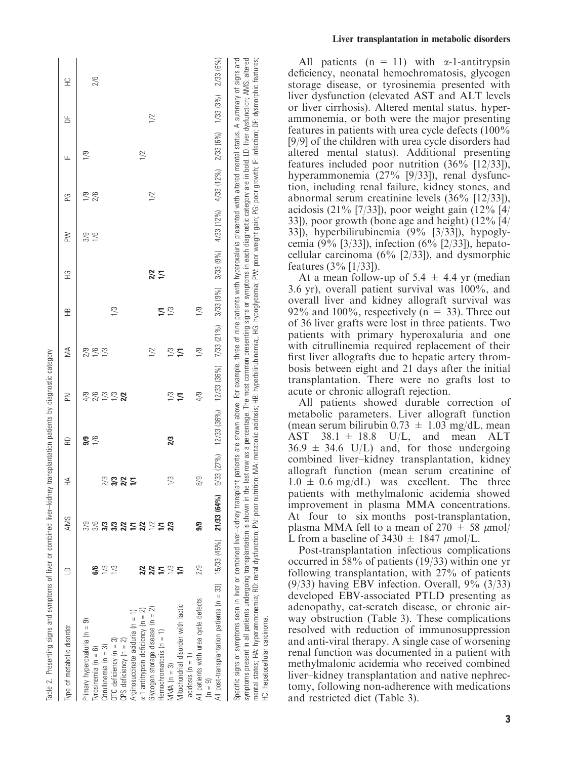| Type of metabolic disorder                                           |           | <b>AMS</b>   | £              | RD            | M           | MA         | 坣         | 오             | $\geqslant$                                       | 9G       | 느             | ă         | 오         |
|----------------------------------------------------------------------|-----------|--------------|----------------|---------------|-------------|------------|-----------|---------------|---------------------------------------------------|----------|---------------|-----------|-----------|
|                                                                      |           |              |                |               |             |            |           |               |                                                   |          |               |           |           |
| Primary hyperoxaluria (n = 9)                                        |           |              |                | Sg            | 4/9         | 2/9        |           |               | 3/9                                               | <u>ද</u> | $\frac{9}{2}$ |           |           |
| $N$ rosinemia (n = 6)                                                | <b>SG</b> |              |                | $\frac{1}{6}$ | 2/6         | 1/6        |           |               | $\frac{1}{6}$                                     | 2/6      |               |           | 2/6       |
| Citrullinemia ( $n = 3$ )                                            | 1/3       |              | 2/3            |               | 1/3         |            |           |               |                                                   |          |               |           |           |
| $C = 3$                                                              | 1/3       |              | 3/3            |               | 1/3         |            | 1/3       |               |                                                   |          |               |           |           |
| CPS deficiency (n = $2$ )                                            |           | 3325         | 2/2            |               | 2/2         |            |           |               |                                                   |          |               |           |           |
| Arginosuccinate aciduria (n = 1)                                     |           |              | 71             |               |             |            |           |               |                                                   |          |               |           |           |
| $\alpha$ -1-antitrypsin deficiency (n = .                            |           | $22 \leq 52$ |                |               |             |            |           |               |                                                   |          | 1/2           |           |           |
| Glycogen storage disease (n = 2)                                     | 385       |              |                |               |             | 1/2        |           |               |                                                   | 1/2      |               | 1/2       |           |
| Hemochromatosis ( $n = 1$ )                                          |           |              |                |               |             |            | 2         | $\frac{2}{1}$ |                                                   |          |               |           |           |
| $\mathsf{MMA}$ (n = 3)                                               | 1/3       |              | 1/3            | 2/3           | 1/3         | $\sqrt{3}$ | 1/3       |               |                                                   |          |               |           |           |
| Vitochondrial disorder with lactic                                   | 5         |              |                |               | 17          | Z,         |           |               |                                                   |          |               |           |           |
| $accidos (n = 1)$                                                    |           |              |                |               |             |            |           |               |                                                   |          |               |           |           |
| All patients with urea cycle defects                                 | 2/9       | 93           | 8/9            |               | 4/9         | 1/9        | 1/9       |               |                                                   |          |               |           |           |
| $(n = 9)$                                                            |           |              |                |               |             |            |           |               |                                                   |          |               |           |           |
| All post-transplantation patients (n = 33) $15/33$ (45%) 21/33 (64%) |           |              | $9/33$ $(27%)$ | 12/33 (36%)   | 12/33 (36%) | 7/33 (21%) | 3/33 (9%) |               | $3/33$ (9%) $4/33$ (12%) $4/33$ (12%) $2/33$ (6%) |          |               | 1/33 (3%) | 2/33 (6%) |

symptoms present in all patients undergoing transplantation is shown in the last row as a percentage. The most common presenting signs or symptoms in each diagnostic category are in bold. LD: liver dysfunction; ANS: altere mental states; HA: hyperammonemia; RD: renal dysfunction; PN: poor nutrition; MA: metabolic acidosis; HB: hyperbilirubinemia;, HG: hypoglycemia; PW: poor weight gain; PG: poor growth; IF: infection; DF: dysmorphic features symptoms present in all patients undergoing transplantation is shown in the last row as a percentage. The most common presenting signs or symptoms in each diagnostic category are in bold. LD: liver dysfunction; AMS: altered mental states; HA: hyperammonemia; RD: renal dysfunction; PN: poor nutrition; MA: metabolic acidosis; HB: hyperbilirubinemia;, HG: hypoglycemia; PW: poor weight gain; PG: poor growth; IF: infection; DF: dysmorphic features; HC: hepatocellular carcinoma. HC: hepatocellular carcinoma.

All patients  $(n = 11)$  with  $\alpha$ -1-antitrypsin deficiency, neonatal hemochromatosis, glycogen storage disease, or tyrosinemia presented with liver dysfunction (elevated AST and ALT levels or liver cirrhosis). Altered mental status, hyperammonemia, or both were the major presenting features in patients with urea cycle defects (100% [9/9] of the children with urea cycle disorders had altered mental status). Additional presenting features included poor nutrition (36% [12/33]), hyperammonemia (27% [9/33]), renal dysfunction, including renal failure, kidney stones, and abnormal serum creatinine levels (36% [12/33]), acidosis (21% [7/33]), poor weight gain (12% [4/ 33]), poor growth (bone age and height) (12% [4/ 33]), hyperbilirubinemia (9% [3/33]), hypoglycemia (9% [3/33]), infection (6% [2/33]), hepatocellular carcinoma (6% [2/33]), and dysmorphic features (3% [1/33]).

At a mean follow-up of  $5.4 \pm 4.4$  yr (median 3.6 yr), overall patient survival was 100%, and overall liver and kidney allograft survival was 92% and 100%, respectively ( $n = 33$ ). Three out of 36 liver grafts were lost in three patients. Two patients with primary hyperoxaluria and one with citrullinemia required replacement of their first liver allografts due to hepatic artery thrombosis between eight and 21 days after the initial transplantation. There were no grafts lost to acute or chronic allograft rejection.

All patients showed durable correction of metabolic parameters. Liver allograft function (mean serum bilirubin  $0.73 \pm 1.03$  mg/dL, mean AST  $38.1 \pm 18.8$  U/L, and mean ALT  $36.9 \pm 34.6$  U/L) and, for those undergoing combined liver–kidney transplantation, kidney allograft function (mean serum creatinine of  $1.0 \pm 0.6$  mg/dL) was excellent. The three patients with methylmalonic acidemia showed improvement in plasma MMA concentrations. At four to six months post-transplantation, plasma MMA fell to a mean of 270  $\pm$  58  $\mu$ mol/ L from a baseline of 3430  $\pm$  1847  $\mu$ mol/L.

Post-transplantation infectious complications occurred in 58% of patients (19/33) within one yr following transplantation, with 27% of patients  $(9/33)$  having EBV infection. Overall,  $9\%$   $(3/33)$ developed EBV-associated PTLD presenting as adenopathy, cat-scratch disease, or chronic airway obstruction (Table 3). These complications resolved with reduction of immunosuppression and anti-viral therapy. A single case of worsening renal function was documented in a patient with methylmalonic acidemia who received combined liver–kidney transplantation and native nephrectomy, following non-adherence with medications and restricted diet (Table 3).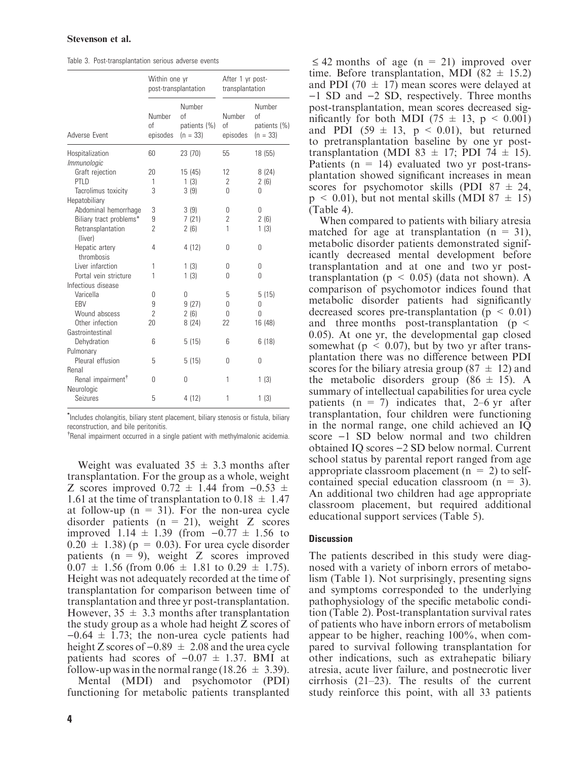| Table 3. Post-transplantation serious adverse events |  |  |  |
|------------------------------------------------------|--|--|--|
|------------------------------------------------------|--|--|--|

|                               | Within one yr            | post-transplantation                       | After 1 yr post-<br>transplantation |                                            |  |
|-------------------------------|--------------------------|--------------------------------------------|-------------------------------------|--------------------------------------------|--|
| Adverse Event                 | Number<br>of<br>episodes | Number<br>nf<br>patients (%)<br>$(n = 33)$ | Number<br>of<br>episodes            | Number<br>nf<br>patients (%)<br>$(n = 33)$ |  |
| Hospitalization               | 60                       | 23 (70)                                    | 55                                  | 18 (55)                                    |  |
| Immunologic                   |                          |                                            |                                     |                                            |  |
| Graft rejection               | 20                       | 15 (45)                                    | 12                                  | 8(24)                                      |  |
| PTLD                          | 1                        | 1(3)                                       | $\overline{2}$                      | 2(6)                                       |  |
| Tacrolimus toxicity           | 3                        | 3(9)                                       | Ŋ                                   | 0                                          |  |
| Hepatobiliary                 |                          |                                            |                                     |                                            |  |
| Abdominal hemorrhage          | 3                        | 3(9)                                       | 0                                   | $\Omega$                                   |  |
| Biliary tract problems*       | 9                        | 7(21)                                      | $\overline{2}$                      | 2(6)                                       |  |
| Retransplantation<br>(liver)  | $\overline{2}$           | 2(6)                                       | 1                                   | 1(3)                                       |  |
| Hepatic artery<br>thrombosis  | 4                        | 4(12)                                      | $\Omega$                            | 0                                          |  |
| Liver infarction              | 1                        | 1(3)                                       | 0                                   | 0                                          |  |
| Portal vein stricture         | 1                        | 1(3)                                       | $\Omega$                            | $\theta$                                   |  |
| Infectious disease            |                          |                                            |                                     |                                            |  |
| Varicella                     | 0                        | $\theta$                                   | 5                                   | 5(15)                                      |  |
| <b>FBV</b>                    | 9                        | 9(27)                                      | $\Omega$                            | $\theta$                                   |  |
| Wound abscess                 | $\overline{2}$           | 2(6)                                       | N                                   | $\theta$                                   |  |
| Other infection               | 20                       | 8(24)                                      | 22                                  | 16 (48)                                    |  |
| Gastrointestinal              |                          |                                            |                                     |                                            |  |
| Dehydration                   | 6                        | 5(15)                                      | 6                                   | 6(18)                                      |  |
| Pulmonary                     |                          |                                            |                                     |                                            |  |
| Pleural effusion              | 5                        | 5(15)                                      | 0                                   | $\theta$                                   |  |
| Renal                         |                          |                                            |                                     |                                            |  |
| Renal impairment <sup>†</sup> | U                        | 0                                          | 1                                   | 1(3)                                       |  |
| Neurologic                    |                          |                                            |                                     |                                            |  |
| Seizures                      | 5                        | 4(12)                                      | 1                                   | 1(3)                                       |  |
|                               |                          |                                            |                                     |                                            |  |

\* Includes cholangitis, biliary stent placement, biliary stenosis or fistula, biliary reconstruction, and bile peritonitis.

<sup>†</sup>Renal impairment occurred in a single patient with methylmalonic acidemia.

Weight was evaluated  $35 \pm 3.3$  months after transplantation. For the group as a whole, weight Z scores improved  $0.72 \pm 1.44$  from  $-0.53 \pm 1.44$ 1.61 at the time of transplantation to  $0.18 \pm 1.47$ at follow-up  $(n = 31)$ . For the non-urea cycle disorder patients  $(n = 21)$ , weight Z scores improved  $1.14 \pm 1.39$  (from  $-0.77 \pm 1.56$  to  $0.20 \pm 1.38$ ) (p = 0.03). For urea cycle disorder patients  $(n = 9)$ , weight Z scores improved  $0.07 \pm 1.56$  (from  $0.06 \pm 1.81$  to  $0.29 \pm 1.75$ ). Height was not adequately recorded at the time of transplantation for comparison between time of transplantation and three yr post-transplantation. However,  $35 \pm 3.3$  months after transplantation the study group as a whole had height Z scores of  $-0.64 \pm 1.73$ ; the non-urea cycle patients had height Z scores of  $-0.89 \pm 2.08$  and the urea cycle patients had scores of  $-0.07 \pm 1.37$ . BMI at follow-up was in the normal range (18.26  $\pm$  3.39).

Mental (MDI) and psychomotor (PDI) functioning for metabolic patients transplanted

 $\leq$  42 months of age (n = 21) improved over time. Before transplantation, MDI (82  $\pm$  15.2) and PDI (70  $\pm$  17) mean scores were delayed at  $-1$  SD and  $-2$  SD, respectively. Three months post-transplantation, mean scores decreased significantly for both MDI (75  $\pm$  13, p < 0.001) and PDI  $(59 \pm 13, p \le 0.01)$ , but returned to pretransplantation baseline by one yr posttransplantation (MDI 83  $\pm$  17; PDI 74  $\pm$  15). Patients ( $n = 14$ ) evaluated two yr post-transplantation showed significant increases in mean scores for psychomotor skills (PDI 87  $\pm$  24,  $p \le 0.01$ ), but not mental skills (MDI 87  $\pm$  15) (Table 4).

When compared to patients with biliary atresia matched for age at transplantation  $(n = 31)$ , metabolic disorder patients demonstrated significantly decreased mental development before transplantation and at one and two yr posttransplantation ( $p \leq 0.05$ ) (data not shown). A comparison of psychomotor indices found that metabolic disorder patients had significantly decreased scores pre-transplantation ( $p \leq 0.01$ ) and three months post-transplantation ( $p <$ 0.05). At one yr, the developmental gap closed somewhat ( $p \leq 0.07$ ), but by two yr after transplantation there was no difference between PDI scores for the biliary atresia group (87  $\pm$  12) and the metabolic disorders group  $(86 \pm 15)$ . A summary of intellectual capabilities for urea cycle patients ( $n = 7$ ) indicates that, 2–6 yr after transplantation, four children were functioning in the normal range, one child achieved an IQ score  $-1$  SD below normal and two children obtained IO scores  $-2$  SD below normal. Current school status by parental report ranged from age appropriate classroom placement ( $n = 2$ ) to selfcontained special education classroom (n = 3). An additional two children had age appropriate classroom placement, but required additional educational support services (Table 5).

#### **Discussion**

The patients described in this study were diagnosed with a variety of inborn errors of metabolism (Table 1). Not surprisingly, presenting signs and symptoms corresponded to the underlying pathophysiology of the specific metabolic condition (Table 2). Post-transplantation survival rates of patients who have inborn errors of metabolism appear to be higher, reaching 100%, when compared to survival following transplantation for other indications, such as extrahepatic biliary atresia, acute liver failure, and postnecrotic liver cirrhosis (21–23). The results of the current study reinforce this point, with all 33 patients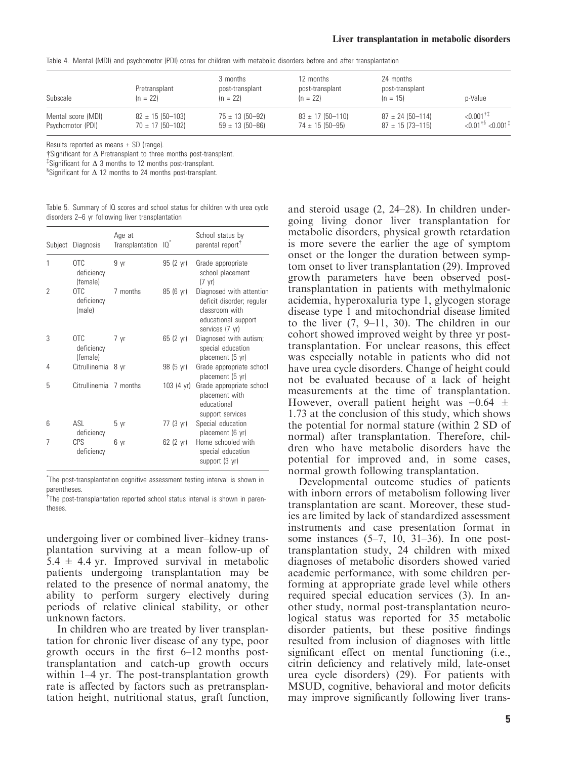|  |  |  |  |  |  |  |  |  |  |  |  |  |  | Table 4. Mental (MDI) and psychomotor (PDI) cores for children with metabolic disorders before and after transplantation |
|--|--|--|--|--|--|--|--|--|--|--|--|--|--|--------------------------------------------------------------------------------------------------------------------------|
|--|--|--|--|--|--|--|--|--|--|--|--|--|--|--------------------------------------------------------------------------------------------------------------------------|

| Subscale           | Pretransplant<br>$(n = 22)$ | 3 months<br>post-transplant<br>$(n = 22)$ | 12 months<br>post-transplant<br>$(n = 22)$ | 24 months<br>post-transplant<br>$(n = 15)$ | p-Value                 |
|--------------------|-----------------------------|-------------------------------------------|--------------------------------------------|--------------------------------------------|-------------------------|
| Mental score (MDI) | $82 \pm 15 (50 - 103)$      | $75 \pm 13 (50 - 92)$                     | $83 \pm 17$ (50-110)                       | $87 \pm 24$ (50-114)                       | $< 0.001$ <sup>†‡</sup> |
| Psychomotor (PDI)  | $70 \pm 17 (50 - 102)$      | $59 \pm 13 (50 - 86)$                     | $74 \pm 15 (50 - 95)$                      | $87 \pm 15$ (73-115)                       | $< 0.01†§ < 0.001‡$     |

Results reported as means  $\pm$  SD (range).

 $\dagger$ Significant for  $\Delta$  Pretransplant to three months post-transplant.

<sup>‡</sup>Significant for  $\Delta$  3 months to 12 months post-transplant.<br><sup>§</sup>Significant for  $\Delta$  12 months to 24 months post-transplan

<sup>§</sup> Significant for  $\Delta$  12 months to 24 months post-transplant.

Table 5. Summary of IQ scores and school status for children with urea cycle disorders 2–6 yr following liver transplantation

|   | Subject Diagnosis             | Age at<br>Transplantation IQ <sup>®</sup> |                     | School status by<br>parental report <sup>†</sup>                                                                  |
|---|-------------------------------|-------------------------------------------|---------------------|-------------------------------------------------------------------------------------------------------------------|
| 1 | OTC<br>deficiency<br>(female) | 9 yr                                      | 95 (2 yr)           | Grade appropriate<br>school placement<br>$(7 \text{ yr})$                                                         |
| 2 | OTC<br>deficiency<br>(male)   | 7 months                                  | $85(6 \text{ yr})$  | Diagnosed with attention<br>deficit disorder; regular<br>classroom with<br>educational support<br>services (7 yr) |
| 3 | OTC<br>deficiency<br>(female) | 7 yr                                      | 65 (2 yr)           | Diagnosed with autism;<br>special education<br>placement (5 yr)                                                   |
| 4 | Citrullinemia 8 yr            |                                           | 98 (5 yr)           | Grade appropriate school<br>placement (5 yr)                                                                      |
| 5 | Citrullinemia 7 months        |                                           | $103(4 \text{ yr})$ | Grade appropriate school<br>placement with<br>educational<br>support services                                     |
| 6 | ASI<br>deficiency             | 5 yr                                      | 77 (3 yr)           | Special education<br>placement (6 yr)                                                                             |
| 7 | CPS<br>deficiency             | 6 yr                                      | 62 $(2 \text{ yr})$ | Home schooled with<br>special education<br>support (3 yr)                                                         |

\* The post-transplantation cognitive assessment testing interval is shown in parentheses.

<sup>†</sup>The post-transplantation reported school status interval is shown in parentheses.

undergoing liver or combined liver–kidney transplantation surviving at a mean follow-up of  $5.4 \pm 4.4$  yr. Improved survival in metabolic patients undergoing transplantation may be related to the presence of normal anatomy, the ability to perform surgery electively during periods of relative clinical stability, or other unknown factors.

In children who are treated by liver transplantation for chronic liver disease of any type, poor growth occurs in the first 6–12 months posttransplantation and catch-up growth occurs within 1–4 yr. The post-transplantation growth rate is affected by factors such as pretransplantation height, nutritional status, graft function,

and steroid usage (2, 24–28). In children undergoing living donor liver transplantation for metabolic disorders, physical growth retardation is more severe the earlier the age of symptom onset or the longer the duration between symptom onset to liver transplantation (29). Improved growth parameters have been observed posttransplantation in patients with methylmalonic acidemia, hyperoxaluria type 1, glycogen storage disease type 1 and mitochondrial disease limited to the liver (7, 9–11, 30). The children in our cohort showed improved weight by three yr posttransplantation. For unclear reasons, this effect was especially notable in patients who did not have urea cycle disorders. Change of height could not be evaluated because of a lack of height measurements at the time of transplantation. However, overall patient height was  $-0.64 \pm 1$ 1.73 at the conclusion of this study, which shows the potential for normal stature (within 2 SD of normal) after transplantation. Therefore, children who have metabolic disorders have the potential for improved and, in some cases, normal growth following transplantation.

Developmental outcome studies of patients with inborn errors of metabolism following liver transplantation are scant. Moreover, these studies are limited by lack of standardized assessment instruments and case presentation format in some instances  $(5-7, 10, 31-36)$ . In one posttransplantation study, 24 children with mixed diagnoses of metabolic disorders showed varied academic performance, with some children performing at appropriate grade level while others required special education services (3). In another study, normal post-transplantation neurological status was reported for 35 metabolic disorder patients, but these positive findings resulted from inclusion of diagnoses with little significant effect on mental functioning (i.e., citrin deficiency and relatively mild, late-onset urea cycle disorders) (29). For patients with MSUD, cognitive, behavioral and motor deficits may improve significantly following liver trans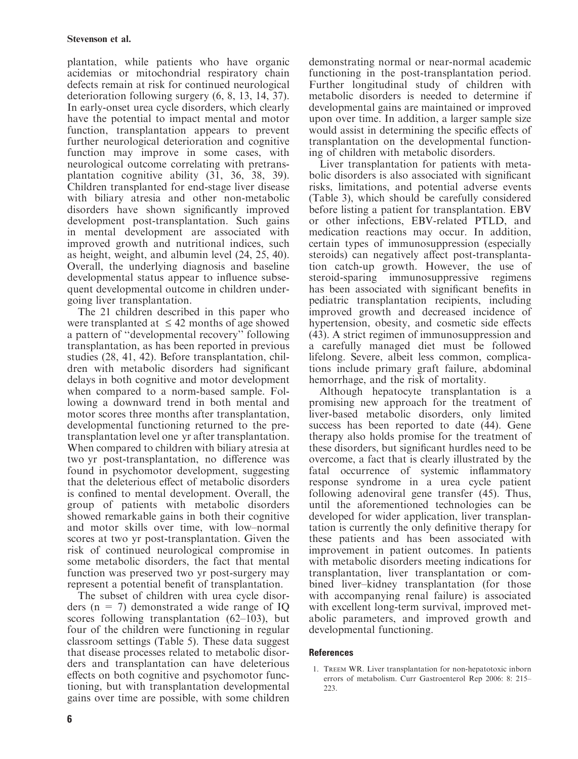plantation, while patients who have organic acidemias or mitochondrial respiratory chain defects remain at risk for continued neurological deterioration following surgery (6, 8, 13, 14, 37). In early-onset urea cycle disorders, which clearly have the potential to impact mental and motor function, transplantation appears to prevent further neurological deterioration and cognitive function may improve in some cases, with neurological outcome correlating with pretransplantation cognitive ability (31, 36, 38, 39). Children transplanted for end-stage liver disease with biliary atresia and other non-metabolic disorders have shown significantly improved development post-transplantation. Such gains in mental development are associated with improved growth and nutritional indices, such as height, weight, and albumin level (24, 25, 40). Overall, the underlying diagnosis and baseline developmental status appear to influence subsequent developmental outcome in children undergoing liver transplantation.

The 21 children described in this paper who were transplanted at  $\leq 42$  months of age showed a pattern of ''developmental recovery'' following transplantation, as has been reported in previous studies (28, 41, 42). Before transplantation, children with metabolic disorders had significant delays in both cognitive and motor development when compared to a norm-based sample. Following a downward trend in both mental and motor scores three months after transplantation, developmental functioning returned to the pretransplantation level one yr after transplantation. When compared to children with biliary atresia at two yr post-transplantation, no difference was found in psychomotor development, suggesting that the deleterious effect of metabolic disorders is confined to mental development. Overall, the group of patients with metabolic disorders showed remarkable gains in both their cognitive and motor skills over time, with low–normal scores at two yr post-transplantation. Given the risk of continued neurological compromise in some metabolic disorders, the fact that mental function was preserved two yr post-surgery may represent a potential benefit of transplantation.

The subset of children with urea cycle disorders ( $n = 7$ ) demonstrated a wide range of IQ scores following transplantation (62–103), but four of the children were functioning in regular classroom settings (Table 5). These data suggest that disease processes related to metabolic disorders and transplantation can have deleterious effects on both cognitive and psychomotor functioning, but with transplantation developmental gains over time are possible, with some children

demonstrating normal or near-normal academic functioning in the post-transplantation period. Further longitudinal study of children with metabolic disorders is needed to determine if developmental gains are maintained or improved upon over time. In addition, a larger sample size would assist in determining the specific effects of transplantation on the developmental functioning of children with metabolic disorders.

Liver transplantation for patients with metabolic disorders is also associated with significant risks, limitations, and potential adverse events (Table 3), which should be carefully considered before listing a patient for transplantation. EBV or other infections, EBV-related PTLD, and medication reactions may occur. In addition, certain types of immunosuppression (especially steroids) can negatively affect post-transplantation catch-up growth. However, the use of steroid-sparing immunosuppressive regimens has been associated with significant benefits in pediatric transplantation recipients, including improved growth and decreased incidence of hypertension, obesity, and cosmetic side effects (43). A strict regimen of immunosuppression and a carefully managed diet must be followed lifelong. Severe, albeit less common, complications include primary graft failure, abdominal hemorrhage, and the risk of mortality.

Although hepatocyte transplantation is a promising new approach for the treatment of liver-based metabolic disorders, only limited success has been reported to date (44). Gene therapy also holds promise for the treatment of these disorders, but significant hurdles need to be overcome, a fact that is clearly illustrated by the fatal occurrence of systemic inflammatory response syndrome in a urea cycle patient following adenoviral gene transfer (45). Thus, until the aforementioned technologies can be developed for wider application, liver transplantation is currently the only definitive therapy for these patients and has been associated with improvement in patient outcomes. In patients with metabolic disorders meeting indications for transplantation, liver transplantation or combined liver–kidney transplantation (for those with accompanying renal failure) is associated with excellent long-term survival, improved metabolic parameters, and improved growth and developmental functioning.

### **References**

1. Treem WR. Liver transplantation for non-hepatotoxic inborn errors of metabolism. Curr Gastroenterol Rep 2006: 8: 215– 223.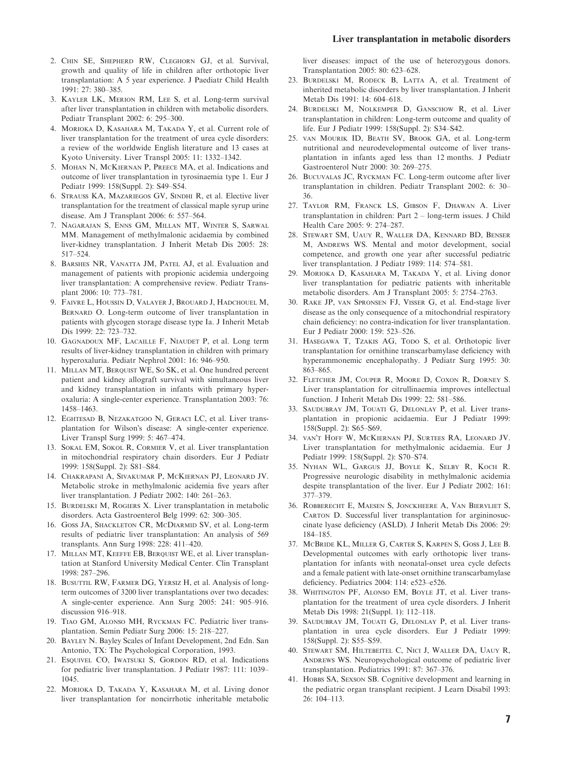- 2. Chin SE, Shepherd RW, Cleghorn GJ, et al. Survival, growth and quality of life in children after orthotopic liver transplantation: A 5 year experience. J Paediatr Child Health 1991: 27: 380–385.
- 3. Kayler LK, Merion RM, Lee S, et al. Long-term survival after liver transplantation in children with metabolic disorders. Pediatr Transplant 2002: 6: 295–300.
- 4. Morioka D, Kasahara M, Takada Y, et al. Current role of liver transplantation for the treatment of urea cycle disorders: a review of the worldwide English literature and 13 cases at Kyoto University. Liver Transpl 2005: 11: 1332–1342.
- 5. Mohan N, McKiernan P, Preece MA, et al. Indications and outcome of liver transplantation in tyrosinaemia type 1. Eur J Pediatr 1999: 158(Suppl. 2): S49–S54.
- 6. Strauss KA, Mazariegos GV, Sindhi R, et al. Elective liver transplantation for the treatment of classical maple syrup urine disease. Am J Transplant 2006: 6: 557–564.
- 7. Nagarajan S, Enns GM, Millan MT, Winter S, Sarwal MM. Management of methylmalonic acidaemia by combined liver-kidney transplantation. J Inherit Metab Dis 2005: 28: 517–524.
- 8. Barshes NR, Vanatta JM, Patel AJ, et al. Evaluation and management of patients with propionic acidemia undergoing liver transplantation: A comprehensive review. Pediatr Transplant 2006: 10: 773–781.
- 9. Faivre L, Houssin D, Valayer J, Brouard J, Hadchouel M, BERNARD O. Long-term outcome of liver transplantation in patients with glycogen storage disease type Ia. J Inherit Metab Dis 1999: 22: 723–732.
- 10. Gagnadoux MF, Lacaille F, Niaudet P, et al. Long term results of liver-kidney transplantation in children with primary hyperoxaluria. Pediatr Nephrol 2001: 16: 946–950.
- 11. Millan MT, Berquist WE, So SK, et al. One hundred percent patient and kidney allograft survival with simultaneous liver and kidney transplantation in infants with primary hyperoxaluria: A single-center experience. Transplantation 2003: 76: 1458–1463.
- 12. Eghtesad B, Nezakatgoo N, Geraci LC, et al. Liver transplantation for Wilson's disease: A single-center experience. Liver Transpl Surg 1999: 5: 467–474.
- 13. Sokal EM, Sokol R, Cormier V, et al. Liver transplantation in mitochondrial respiratory chain disorders. Eur J Pediatr 1999: 158(Suppl. 2): S81–S84.
- 14. Chakrapani A, Sivakumar P, McKiernan PJ, Leonard JV. Metabolic stroke in methylmalonic acidemia five years after liver transplantation. J Pediatr 2002: 140: 261–263.
- 15. Burdelski M, Rogiers X. Liver transplantation in metabolic disorders. Acta Gastroenterol Belg 1999: 62: 300–305.
- 16. Goss JA, Shackleton CR, McDiarmid SV, et al. Long-term results of pediatric liver transplantation: An analysis of 569 transplants. Ann Surg 1998: 228: 411–420.
- 17. Millan MT, Keeffe EB, Berquist WE, et al. Liver transplantation at Stanford University Medical Center. Clin Transplant 1998: 287–296.
- 18. BUSUTTIL RW, FARMER DG, YERSIZ H, et al. Analysis of longterm outcomes of 3200 liver transplantations over two decades: A single-center experience. Ann Surg 2005: 241: 905–916. discussion 916–918.
- 19. Tiao GM, Alonso MH, Ryckman FC. Pediatric liver transplantation. Semin Pediatr Surg 2006: 15: 218–227.
- 20. Bayley N. Bayley Scales of Infant Development, 2nd Edn. San Antonio, TX: The Psychological Corporation, 1993.
- 21. Esquivel CO, Iwatsuki S, Gordon RD, et al. Indications for pediatric liver transplantation. J Pediatr 1987: 111: 1039– 1045.
- 22. Morioka D, Takada Y, Kasahara M, et al. Living donor liver transplantation for noncirrhotic inheritable metabolic

liver diseases: impact of the use of heterozygous donors. Transplantation 2005: 80: 623–628.

- 23. BURDELSKI M, RODECK B, LATTA A, et al. Treatment of inherited metabolic disorders by liver transplantation. J Inherit Metab Dis 1991: 14: 604–618.
- 24. Burdelski M, Nolkemper D, Ganschow R, et al. Liver transplantation in children: Long-term outcome and quality of life. Eur J Pediatr 1999: 158(Suppl. 2): S34–S42.
- 25. van Mourik ID, Beath SV, Brook GA, et al. Long-term nutritional and neurodevelopmental outcome of liver transplantation in infants aged less than 12 months. J Pediatr Gastroenterol Nutr 2000: 30: 269–275.
- 26. Bucuvalas JC, Ryckman FC. Long-term outcome after liver transplantation in children. Pediatr Transplant 2002: 6: 30– 36.
- 27. Taylor RM, Franck LS, Gibson F, Dhawan A. Liver transplantation in children: Part 2 – long-term issues. J Child Health Care 2005: 9: 274–287.
- 28. Stewart SM, Uauy R, Waller DA, Kennard BD, Benser M, ANDREWS WS. Mental and motor development, social competence, and growth one year after successful pediatric liver transplantation. J Pediatr 1989: 114: 574–581.
- 29. Morioka D, Kasahara M, Takada Y, et al. Living donor liver transplantation for pediatric patients with inheritable metabolic disorders. Am J Transplant 2005: 5: 2754–2763.
- 30. Rake JP, van Spronsen FJ, Visser G, et al. End-stage liver disease as the only consequence of a mitochondrial respiratory chain deficiency: no contra-indication for liver transplantation. Eur J Pediatr 2000: 159: 523–526.
- 31. HASEGAWA T, TZAKIS AG, TODO S, et al. Orthotopic liver transplantation for ornithine transcarbamylase deficiency with hyperammonemic encephalopathy. J Pediatr Surg 1995: 30: 863–865.
- 32. Fletcher JM, Couper R, Moore D, Coxon R, Dorney S. Liver transplantation for citrullinaemia improves intellectual function. J Inherit Metab Dis 1999: 22: 581–586.
- 33. Saudubray JM, Touati G, Delonlay P, et al. Liver transplantation in propionic acidaemia. Eur J Pediatr 1999: 158(Suppl. 2): S65–S69.
- 34. VAN'T HOFF W, MCKIERNAN PJ, SURTEES RA, LEONARD JV. Liver transplantation for methylmalonic acidaemia. Eur J Pediatr 1999: 158(Suppl. 2): S70–S74.
- 35. Nyhan WL, Gargus JJ, Boyle K, Selby R, Koch R. Progressive neurologic disability in methylmalonic acidemia despite transplantation of the liver. Eur J Pediatr 2002: 161: 377–379.
- 36. Robberecht E, Maesen S, Jonckheere A, Van Biervliet S, CARTON D. Successful liver transplantation for argininosuccinate lyase deficiency (ASLD). J Inherit Metab Dis 2006: 29: 184–185.
- 37. McBride KL, Miller G, Carter S, Karpen S, Goss J, Lee B. Developmental outcomes with early orthotopic liver transplantation for infants with neonatal-onset urea cycle defects and a female patient with late-onset ornithine transcarbamylase deficiency. Pediatrics 2004: 114: e523–e526.
- 38. Whitington PF, Alonso EM, Boyle JT, et al. Liver transplantation for the treatment of urea cycle disorders. J Inherit Metab Dis 1998: 21(Suppl. 1): 112–118.
- 39. Saudubray JM, Touati G, Delonlay P, et al. Liver transplantation in urea cycle disorders. Eur J Pediatr 1999: 158(Suppl. 2): S55–S59.
- 40. Stewart SM, Hiltebeitel C, Nici J, Waller DA, Uauy R, ANDREWS WS. Neuropsychological outcome of pediatric liver transplantation. Pediatrics 1991: 87: 367–376.
- 41. Hobbs SA, Sexson SB. Cognitive development and learning in the pediatric organ transplant recipient. J Learn Disabil 1993: 26: 104–113.